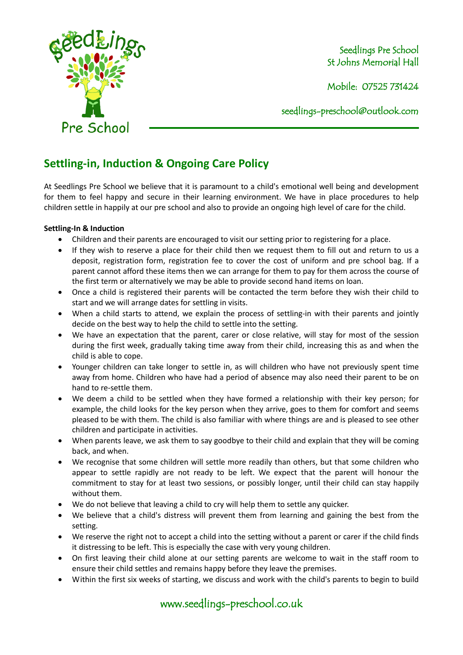

Seedlings Pre School St Johns Memorial Hall

Mobile: 07525 731424

seedlings[-preschool@outlook.com](mailto:preschool@outlook.com)

## **Settling-in, Induction & Ongoing Care Policy**

At Seedlings Pre School we believe that it is paramount to a child's emotional well being and development for them to feel happy and secure in their learning environment. We have in place procedures to help children settle in happily at our pre school and also to provide an ongoing high level of care for the child.

## **Settling-In & Induction**

- Children and their parents are encouraged to visit our setting prior to registering for a place.
- If they wish to reserve a place for their child then we request them to fill out and return to us a deposit, registration form, registration fee to cover the cost of uniform and pre school bag. If a parent cannot afford these items then we can arrange for them to pay for them across the course of the first term or alternatively we may be able to provide second hand items on loan.
- Once a child is registered their parents will be contacted the term before they wish their child to start and we will arrange dates for settling in visits.
- When a child starts to attend, we explain the process of settling-in with their parents and jointly decide on the best way to help the child to settle into the setting.
- We have an expectation that the parent, carer or close relative, will stay for most of the session during the first week, gradually taking time away from their child, increasing this as and when the child is able to cope.
- Younger children can take longer to settle in, as will children who have not previously spent time away from home. Children who have had a period of absence may also need their parent to be on hand to re-settle them.
- We deem a child to be settled when they have formed a relationship with their key person; for example, the child looks for the key person when they arrive, goes to them for comfort and seems pleased to be with them. The child is also familiar with where things are and is pleased to see other children and participate in activities.
- When parents leave, we ask them to say goodbye to their child and explain that they will be coming back, and when.
- We recognise that some children will settle more readily than others, but that some children who appear to settle rapidly are not ready to be left. We expect that the parent will honour the commitment to stay for at least two sessions, or possibly longer, until their child can stay happily without them.
- We do not believe that leaving a child to cry will help them to settle any quicker.
- We believe that a child's distress will prevent them from learning and gaining the best from the setting.
- We reserve the right not to accept a child into the setting without a parent or carer if the child finds it distressing to be left. This is especially the case with very young children.
- On first leaving their child alone at our setting parents are welcome to wait in the staff room to ensure their child settles and remains happy before they leave the premises.
- Within the first six weeks of starting, we discuss and work with the child's parents to begin to build

www.seedlings-preschool.co.uk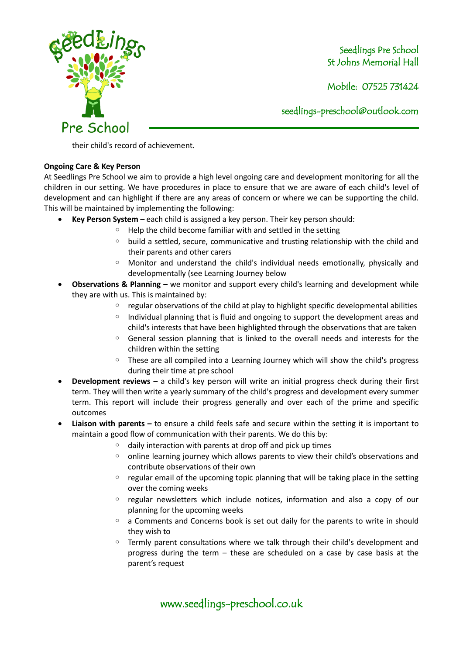

Seedlings Pre School St Johns Memorial Hall

Mobile: 07525 731424

seedlings[-preschool@outlook.com](mailto:preschool@outlook.com)

their child's record of achievement.

## **Ongoing Care & Key Person**

At Seedlings Pre School we aim to provide a high level ongoing care and development monitoring for all the children in our setting. We have procedures in place to ensure that we are aware of each child's level of development and can highlight if there are any areas of concern or where we can be supporting the child. This will be maintained by implementing the following:

- **Key Person System –** each child is assigned a key person. Their key person should:
	- Help the child become familiar with and settled in the setting
	- build a settled, secure, communicative and trusting relationship with the child and their parents and other carers
	- Monitor and understand the child's individual needs emotionally, physically and developmentally (see Learning Journey below
- **Observations & Planning** we monitor and support every child's learning and development while they are with us. This is maintained by:
	- regular observations of the child at play to highlight specific developmental abilities
	- Individual planning that is fluid and ongoing to support the development areas and child's interests that have been highlighted through the observations that are taken
	- General session planning that is linked to the overall needs and interests for the children within the setting
	- These are all compiled into a Learning Journey which will show the child's progress during their time at pre school
- **Development reviews –** a child's key person will write an initial progress check during their first term. They will then write a yearly summary of the child's progress and development every summer term. This report will include their progress generally and over each of the prime and specific outcomes
- **Liaison with parents –** to ensure a child feels safe and secure within the setting it is important to maintain a good flow of communication with their parents. We do this by:
	- daily interaction with parents at drop off and pick up times
	- online learning journey which allows parents to view their child's observations and contribute observations of their own
	- regular email of the upcoming topic planning that will be taking place in the setting over the coming weeks
	- regular newsletters which include notices, information and also a copy of our planning for the upcoming weeks
	- a Comments and Concerns book is set out daily for the parents to write in should they wish to
	- Termly parent consultations where we talk through their child's development and progress during the term – these are scheduled on a case by case basis at the parent's request